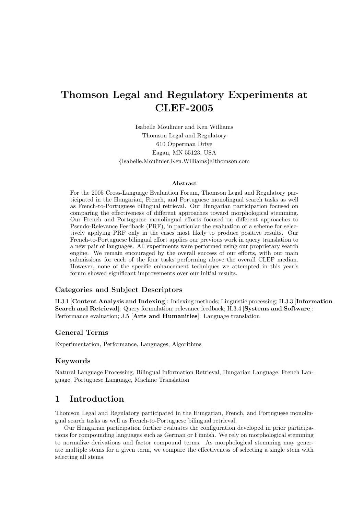# Thomson Legal and Regulatory Experiments at CLEF-2005

Isabelle Moulinier and Ken Williams Thomson Legal and Regulatory 610 Opperman Drive Eagan, MN 55123, USA {Isabelle.Moulinier,Ken.Williams}@thomson.com

#### Abstract

For the 2005 Cross-Language Evaluation Forum, Thomson Legal and Regulatory participated in the Hungarian, French, and Portuguese monolingual search tasks as well as French-to-Portuguese bilingual retrieval. Our Hungarian participation focused on comparing the effectiveness of different approaches toward morphological stemming. Our French and Portuguese monolingual efforts focused on different approaches to Pseudo-Relevance Feedback (PRF), in particular the evaluation of a scheme for selectively applying PRF only in the cases most likely to produce positive results. Our French-to-Portuguese bilingual effort applies our previous work in query translation to a new pair of languages. All experiments were performed using our proprietary search engine. We remain encouraged by the overall success of our efforts, with our main submissions for each of the four tasks performing above the overall CLEF median. However, none of the specific enhancement techniques we attempted in this year's forum showed significant improvements over our initial results.

#### Categories and Subject Descriptors

H.3.1 [Content Analysis and Indexing]: Indexing methods; Linguistic processing; H.3.3 [Information Search and Retrieval]: Query formulation; relevance feedback; H.3.4 [Systems and Software]: Performance evaluation; J.5 [Arts and Humanities]: Language translation

#### General Terms

Experimentation, Performance, Languages, Algorithms

## Keywords

Natural Language Processing, Bilingual Information Retrieval, Hungarian Language, French Language, Portuguese Language, Machine Translation

## 1 Introduction

Thomson Legal and Regulatory participated in the Hungarian, French, and Portuguese monolingual search tasks as well as French-to-Portuguese bilingual retrieval.

Our Hungarian participation further evaluates the configuration developed in prior participations for compounding languages such as German or Finnish. We rely on morphological stemming to normalize derivations and factor compound terms. As morphological stemming may generate multiple stems for a given term, we compare the effectiveness of selecting a single stem with selecting all stems.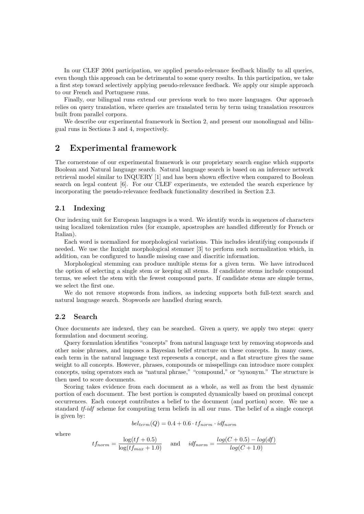In our CLEF 2004 participation, we applied pseudo-relevance feedback blindly to all queries, even though this approach can be detrimental to some query results. In this participation, we take a first step toward selectively applying pseudo-relevance feedback. We apply our simple approach to our French and Portuguese runs.

Finally, our bilingual runs extend our previous work to two more languages. Our approach relies on query translation, where queries are translated term by term using translation resources built from parallel corpora.

We describe our experimental framework in Section 2, and present our monolingual and bilingual runs in Sections 3 and 4, respectively.

## 2 Experimental framework

The cornerstone of our experimental framework is our proprietary search engine which supports Boolean and Natural language search. Natural language search is based on an inference network retrieval model similar to INQUERY [1] and has been shown effective when compared to Boolean search on legal content [6]. For our CLEF experiments, we extended the search experience by incorporating the pseudo-relevance feedback functionality described in Section 2.3.

#### 2.1 Indexing

Our indexing unit for European languages is a word. We identify words in sequences of characters using localized tokenization rules (for example, apostrophes are handled differently for French or Italian).

Each word is normalized for morphological variations. This includes identifying compounds if needed. We use the Inxight morphological stemmer [3] to perform such normalization which, in addition, can be configured to handle missing case and diacritic information.

Morphological stemming can produce multiple stems for a given term. We have introduced the option of selecting a single stem or keeping all stems. If candidate stems include compound terms, we select the stem with the fewest compound parts. If candidate stems are simple terms, we select the first one.

We do not remove stopwords from indices, as indexing supports both full-text search and natural language search. Stopwords are handled during search.

## 2.2 Search

Once documents are indexed, they can be searched. Given a query, we apply two steps: query formulation and document scoring.

Query formulation identifies "concepts" from natural language text by removing stopwords and other noise phrases, and imposes a Bayesian belief structure on these concepts. In many cases, each term in the natural language text represents a concept, and a flat structure gives the same weight to all concepts. However, phrases, compounds or misspellings can introduce more complex concepts, using operators such as "natural phrase," "compound," or "synonym." The structure is then used to score documents.

Scoring takes evidence from each document as a whole, as well as from the best dynamic portion of each document. The best portion is computed dynamically based on proximal concept occurrences. Each concept contributes a belief to the document (and portion) score. We use a standard tf-idf scheme for computing term beliefs in all our runs. The belief of a single concept is given by:

$$
bel_{term}(Q) = 0.4 + 0.6 \cdot tf_{norm} \cdot idf_{norm}
$$

where

$$
tf_{norm} = \frac{\log(tf + 0.5)}{\log(tf_{max} + 1.0)}
$$
 and 
$$
idf_{norm} = \frac{log(C + 0.5) - log(df)}{log(C + 1.0)}
$$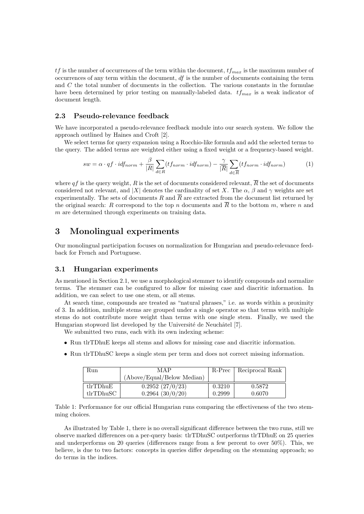$tf$  is the number of occurrences of the term within the document,  $tf_{max}$  is the maximum number of occurrences of any term within the document,  $df$  is the number of documents containing the term and  $C$  the total number of documents in the collection. The various constants in the formulae have been determined by prior testing on manually-labeled data.  $t_{max}$  is a weak indicator of document length.

#### 2.3 Pseudo-relevance feedback

We have incorporated a pseudo-relevance feedback module into our search system. We follow the approach outlined by Haines and Croft [2].

We select terms for query expansion using a Rocchio-like formula and add the selected terms to the query. The added terms are weighted either using a fixed weight or a frequency-based weight.

$$
sw = \alpha \cdot qf \cdot idf_{norm} + \frac{\beta}{|R|} \sum_{d \in R} (tf_{norm} \cdot idf_{norm}) - \frac{\gamma}{|\overline{R}|} \sum_{d \in \overline{R}} (tf_{norm} \cdot idf_{norm}) \tag{1}
$$

where qf is the query weight, R is the set of documents considered relevant,  $\overline{R}$  the set of documents considered not relevant, and |X| denotes the cardinality of set X. The  $\alpha$ ,  $\beta$  and  $\gamma$  weights are set experimentally. The sets of documents R and  $\overline{R}$  are extracted from the document list returned by the original search: R correspond to the top n documents and  $\overline{R}$  to the bottom m, where n and m are determined through experiments on training data.

## 3 Monolingual experiments

Our monolingual participation focuses on normalization for Hungarian and pseudo-relevance feedback for French and Portuguese.

#### 3.1 Hungarian experiments

As mentioned in Section 2.1, we use a morphological stemmer to identify compounds and normalize terms. The stemmer can be configured to allow for missing case and diacritic information. In addition, we can select to use one stem, or all stems.

At search time, compounds are treated as "natural phrases," i.e. as words within a proximity of 3. In addition, multiple stems are grouped under a single operator so that terms with multiple stems do not contribute more weight than terms with one single stem. Finally, we used the Hungarian stopword list developed by the Université de Neuchâtel [7].

We submitted two runs, each with its own indexing scheme:

- Run tlrTDhuE keeps all stems and allows for missing case and diacritic information.
- Run tlrTDhuSC keeps a single stem per term and does not correct missing information.

| Run            | MAP                        |        | R-Prec   Reciprocal Rank |
|----------------|----------------------------|--------|--------------------------|
|                | (Above/Equal/Below Median) |        |                          |
| $t$ lrTD $huE$ | 0.2952(27/0/23)            | 0.3210 | 0.5872                   |
| tlrTDhuSC      | $0.2964$ $(30/0/20)$       | 0.2999 | 0.6070                   |

Table 1: Performance for our official Hungarian runs comparing the effectiveness of the two stemming choices.

As illustrated by Table 1, there is no overall significant difference between the two runs, still we observe marked differences on a per-query basis: tlrTDhuSC outperforms tlrTDhuE on 25 queries and underperforms on 20 queries (differences range from a few percent to over 50%). This, we believe, is due to two factors: concepts in queries differ depending on the stemming approach; so do terms in the indices.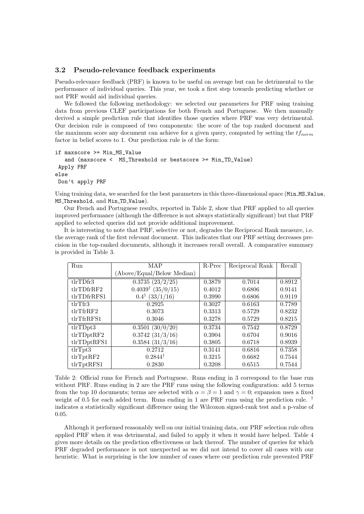#### 3.2 Pseudo-relevance feedback experiments

Pseudo-relevance feedback (PRF) is known to be useful on average but can be detrimental to the performance of individual queries. This year, we took a first step towards predicting whether or not PRF would aid individual queries.

We followed the following methodology: we selected our parameters for PRF using training data from previous CLEF participations for both French and Portuguese. We then manually derived a simple prediction rule that identifies those queries where PRF was very detrimental. Our decision rule is composed of two components: the score of the top ranked document and the maximum score any document can achieve for a given query, computed by setting the  $tf_{norm}$ factor in belief scores to 1. Our prediction rule is of the form:

```
if maxscore >= Min_MS_Value
  and (maxscore < MS_Threshold or bestscore >= Min_TD_Value)
Apply PRF
else
Don't apply PRF
```
Using training data, we searched for the best parameters in this three-dimensional space (Min MS Value, MS Threshold, and Min TD Value).

Our French and Portuguese results, reported in Table 2, show that PRF applied to all queries improved performance (although the difference is not always statistically significant) but that PRF applied to selected queries did not provide additional improvement.

It is interesting to note that PRF, selective or not, degrades the Reciprocal Rank measure, i.e. the average rank of the first relevant document. This indicates that our PRF setting decreases precision in the top-ranked documents, although it increases recall overall. A comparative summary is provided in Table 3.

| Run               | <b>MAP</b>                   | R-Prec | Reciprocal Rank | Recall |
|-------------------|------------------------------|--------|-----------------|--------|
|                   | (Above/Equal/Below Median)   |        |                 |        |
| tlrTDfr3          | 0.3735(23/2/25)              | 0.3879 | 0.7014          | 0.8912 |
| tlrTDfrRF2        | $0.4039^{\dagger}$ (35/0/15) | 0.4012 | 0.6806          | 0.9141 |
| tlrTDfrRFS1       | $0.4^{\dagger}$ (33/1/16)    | 0.3990 | 0.6806          | 0.9119 |
| $t$ lr $T$ fr $3$ | 0.2925                       | 0.3027 | 0.6163          | 0.7789 |
| $t\rm{lrTfr}RF2$  | 0.3073                       | 0.3313 | 0.5729          | 0.8232 |
| tlrTfrRFS1        | 0.3046                       | 0.3278 | 0.5729          | 0.8215 |
| tlrTDpt3          | 0.3501(30/0/20)              | 0.3734 | 0.7542          | 0.8729 |
| tlrTDptRF2        | 0.3742~(31/3/16)             | 0.3904 | 0.6704          | 0.9016 |
| tlrTDptRFS1       | 0.3584~(31/3/16)             | 0.3805 | 0.6718          | 0.8939 |
| $t\text{lr}Tpt3$  | 0.2712                       | 0.3141 | 0.6816          | 0.7358 |
| tlrTptRF2         | $0.2844^{\dagger}$           | 0.3215 | 0.6682          | 0.7544 |
| tlrTptRFS1        | 0.2830                       | 0.3208 | 0.6515          | 0.7544 |

Table 2: Official runs for French and Portuguese. Runs ending in 3 correspond to the base run without PRF. Runs ending in 2 are the PRF runs using the following configuration: add 5 terms from the top 10 documents; terms are selected with  $\alpha = \beta = 1$  and  $\gamma = 0$ ; expansion uses a fixed weight of 0.5 for each added term. Runs ending in 1 are PRF runs using the prediction rule. <sup>†</sup> indicates a statistically significant difference using the Wilcoxon signed-rank test and a p-value of 0.05.

Although it performed reasonably well on our initial training data, our PRF selection rule often applied PRF when it was detrimental, and failed to apply it when it would have helped. Table 4 gives more details on the prediction effectiveness or lack thereof. The number of queries for which PRF degraded performance is not unexpected as we did not intend to cover all cases with our heuristic. What is surprising is the low number of cases where our prediction rule prevented PRF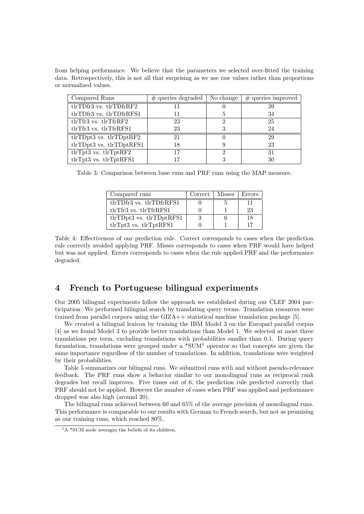from helping performance. We believe that the parameters we selected over-fitted the training data. Retrospectively, this is not all that surprising as we use raw values rather than proportions or normalized values.

| Compared Runs                                           | $\#$ queries degraded | No change | $\#$ queries improved |
|---------------------------------------------------------|-----------------------|-----------|-----------------------|
| $t$ lrTDfr $3$ vs. $t$ lrTDfr $RF2$                     |                       |           | 39                    |
| tlrTDfr3 vs. tlrTDfrRFS1                                | 11                    |           | 34                    |
| $t$ lr $Tfr3$ vs. $t$ lr $TfrRF2$                       | 23                    |           | 25                    |
| $t$ lr $T$ fr $3$ vs. $t$ lr $T$ fr $RFS1$              | 23                    |           | 24                    |
| $\text{tlr}T\text{Dpt}3$ vs. $\text{tlr}T\text{Dpt}RF2$ | 21                    |           | 29                    |
| tlrTDpt3 vs. tlrTDptRFS1                                | 18                    |           | 23                    |
| $\text{tlr}$ Tpt3 vs. $\text{tlr}$ TptRF2               | 17                    | റ         | 31                    |
| $t\$ {lrTpt3 vs. trTptRFS1}                             |                       |           | 30                    |

Table 3: Comparison between base runs and PRF runs using the MAP measure.

| Compared runs                      | Correct | <b>Misses</b> | Errors |
|------------------------------------|---------|---------------|--------|
| tlrTDfr3 vs. tlrTDfrRFS1           |         |               |        |
| $t\$ {irTfr}3 vs. $t\$ {irTfr}RFS1 |         |               | 23     |
| tlrTDpt3 vs. tlrTDptRFS1           |         |               | 18     |
| $t$ lrTpt $3$ vs. $t$ lrTptRFS1    |         |               | 17     |

Table 4: Effectiveness of our prediction rule. Correct corresponds to cases when the prediction rule correctly avoided applying PRF. Misses corresponds to cases when PRF would have helped but was not applied. Errors corresponds to cases when the rule applied PRF and the performance degraded.

## 4 French to Portuguese bilingual experiments

Our 2005 bilingual experiments follow the approach we established during our CLEF 2004 participation. We performed bilingual search by translating query terms. Translation resources were trained from parallel corpora using the  $GIZA++$  statistical machine translation package [5].

We created a bilingual lexicon by training the IBM Model 3 on the Europarl parallel corpus [4] as we found Model 3 to provide better translations than Model 1. We selected at most three translations per term, excluding translations with probabilities smaller than 0.1. During query formulation, translations were grouped under a  $^{\ast}SUM^{1}$  operator so that concepts are given the same importance regardless of the number of translations. In addition, translations were weighted by their probabilities.

Table 5 summarizes our bilingual runs. We submitted runs with and without pseudo-relevance feedback. The PRF runs show a behavior similar to our monolingual runs as reciprocal rank degrades but recall improves. Five times out of 6, the prediction rule predicted correctly that PRF should not be applied. However the number of cases when PRF was applied and performance dropped was also high (around 20).

The bilingual runs achieved between 60 and 65% of the average precision of monolingual runs. This performance is comparable to our results with German to French search, but not as promising as our training runs, which reached 80%.

<sup>&</sup>lt;sup>1</sup>A \*SUM node averages the beliefs of its children.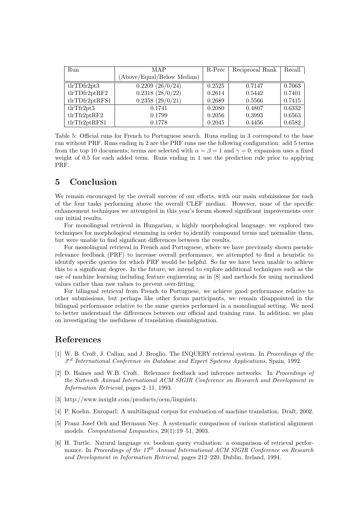| Run                   | MAP                        | R-Prec | Reciprocal Rank | Recall |
|-----------------------|----------------------------|--------|-----------------|--------|
|                       | (Above/Equal/Below Median) |        |                 |        |
| tlrTDfr2pt3           | 0.2209(26/0/24)            | 0.2525 | 0.7147          | 0.7063 |
| tlrTDfr2ptRF2         | 0.2318(28/0/22)            | 0.2614 | 0.5442          | 0.7401 |
| tlrTDfr2ptRFS1        | 0.2358(29/0/21)            | 0.2689 | 0.5566          | 0.7415 |
| $t\text{lrTfr2pt3}$   | 0.1741                     | 0.2080 | 0.4807          | 0.6332 |
| $t\text{lrTfr2ptRF2}$ | 0.1799                     | 0.2056 | 0.3993          | 0.6563 |
| tlrTfr2ptRFS1         | 0.1778                     | 0.2045 | 0.4456          | 0.6582 |

Table 5: Official runs for French to Portuguese search. Runs ending in 3 correspond to the base run without PRF. Runs ending in 2 are the PRF runs use the following configuration: add 5 terms from the top 10 documents; terms are selected with  $\alpha = \beta = 1$  and  $\gamma = 0$ ; expansion uses a fixed weight of 0.5 for each added term. Runs ending in 1 use the prediction rule prior to applying PRF.

# 5 Conclusion

We remain encouraged by the overall success of our efforts, with our main submissions for each of the four tasks performing above the overall CLEF median. However, none of the specific enhancement techniques we attempted in this year's forum showed significant improvements over our initial results.

For monolingual retrieval in Hungarian, a highly morphological language, we explored two techniques for morphological stemming in order to identify compound terms and normalize them, but were unable to find significant differences between the results.

For monolingual retrieval in French and Portuguese, where we have previously shown pseudorelevance feedback (PRF) to increase overall performance, we attempted to find a heuristic to identify specific queries for which PRF would be helpful. So far we have been unable to achieve this to a significant degree. In the future, we intend to explore additional techniques such as the use of machine learning including feature engineering as in [8] and methods for using normalized values rather than raw values to prevent over-fitting.

For bilingual retrieval from French to Portuguese, we achieve good performance relative to other submissions, but perhaps like other forum participants, we remain disappointed in the bilingual performance relative to the same queries performed in a monolingual setting. We need to better understand the differences between our official and training runs. In addition, we plan on investigating the usefulness of translation disambiguation.

## References

- [1] W. B. Croft, J. Callan, and J. Broglio. The INQUERY retrieval system. In *Proceedings of the* 3 rd International Conference on Database and Expert Systems Applications, Spain, 1992.
- [2] D. Haines and W.B. Croft. Relevance feedback and inference networks. In Proceedings of the Sixteenth Annual International ACM SIGIR Conference on Research and Development in Information Retrieval, pages 2–11, 1993.
- [3] http://www.inxight.com/products/oem/linguistx.
- [4] P. Koehn. Europarl: A multilingual corpus for evaluation of machine translation. Draft, 2002.
- [5] Franz Josef Och and Hermann Ney. A systematic comparison of various statistical alignment models. Computational Linguistics, 29(1):19–51, 2003.
- [6] H. Turtle. Natural language vs. boolean query evaluation: a comparison of retrieval performance. In Proceedings of the  $17<sup>th</sup>$  Annual International ACM SIGIR Conference on Research and Development in Information Retrieval, pages 212–220, Dublin, Ireland, 1994.